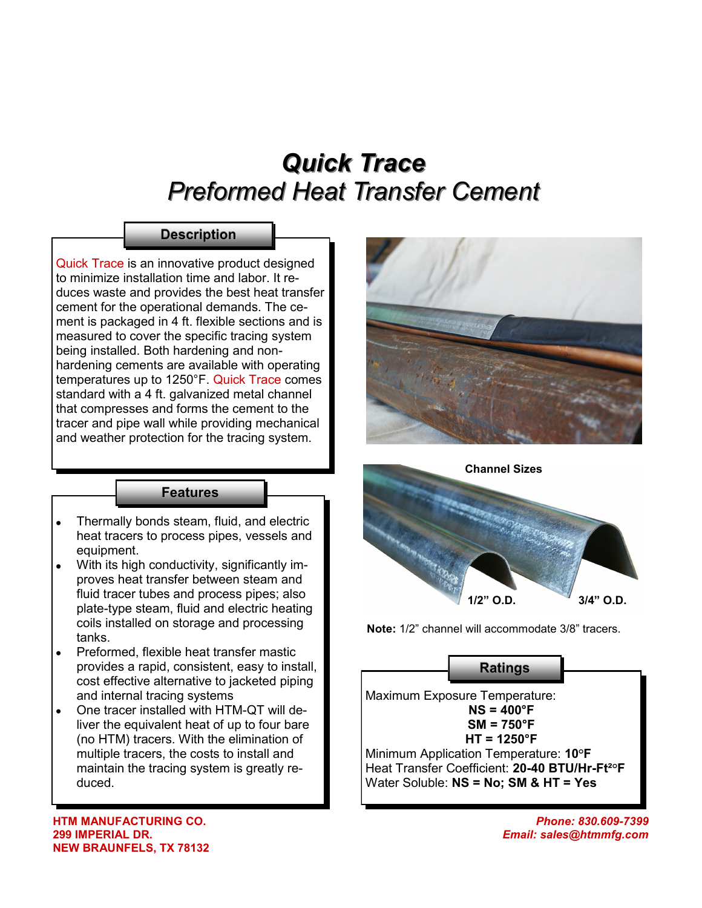# *Quick Trace Preformed Heat Transfer Cement*

## **Description**

Quick Trace is an innovative product designed to minimize installation time and labor. It reduces waste and provides the best heat transfer cement for the operational demands. The cement is packaged in 4 ft. flexible sections and is measured to cover the specific tracing system being installed. Both hardening and nonhardening cements are available with operating temperatures up to 1250°F. Quick Trace comes standard with a 4 ft. galvanized metal channel that compresses and forms the cement to the tracer and pipe wall while providing mechanical and weather protection for the tracing system.

#### **Features**

- Thermally bonds steam, fluid, and electric heat tracers to process pipes, vessels and equipment.
- With its high conductivity, significantly improves heat transfer between steam and fluid tracer tubes and process pipes; also plate-type steam, fluid and electric heating coils installed on storage and processing tanks.
- Preformed, flexible heat transfer mastic provides a rapid, consistent, easy to install, cost effective alternative to jacketed piping and internal tracing systems
- One tracer installed with HTM-QT will deliver the equivalent heat of up to four bare (no HTM) tracers. With the elimination of multiple tracers, the costs to install and maintain the tracing system is greatly reduced.

**HTM MANUFACTURING CO. 299 IMPERIAL DR. NEW BRAUNFELS, TX 78132**





**Note:** 1/2" channel will accommodate 3/8" tracers.

### **Ratings**

Maximum Exposure Temperature: **NS = 400°F SM = 750°F HT = 1250°F** Minimum Application Temperature: **10°F** Heat Transfer Coefficient: **20-40 BTU/Hr-Ft²°F** Water Soluble: **NS = No; SM & HT = Yes**